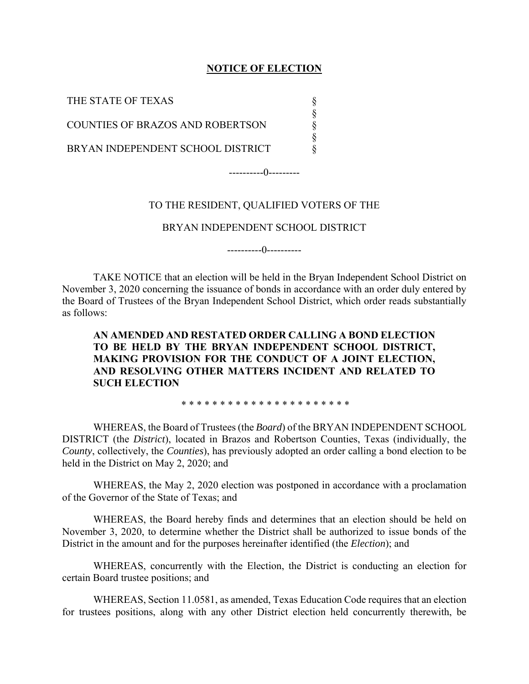#### **NOTICE OF ELECTION**

| THE STATE OF TEXAS                |  |
|-----------------------------------|--|
| COUNTIES OF BRAZOS AND ROBERTSON  |  |
| BRYAN INDEPENDENT SCHOOL DISTRICT |  |

----------0---------

## TO THE RESIDENT, QUALIFIED VOTERS OF THE

#### BRYAN INDEPENDENT SCHOOL DISTRICT

----------0----------

TAKE NOTICE that an election will be held in the Bryan Independent School District on November 3, 2020 concerning the issuance of bonds in accordance with an order duly entered by the Board of Trustees of the Bryan Independent School District, which order reads substantially as follows:

**AN AMENDED AND RESTATED ORDER CALLING A BOND ELECTION TO BE HELD BY THE BRYAN INDEPENDENT SCHOOL DISTRICT, MAKING PROVISION FOR THE CONDUCT OF A JOINT ELECTION, AND RESOLVING OTHER MATTERS INCIDENT AND RELATED TO SUCH ELECTION** 

\* \* \* \* \* \* \* \* \* \* \* \* \* \* \* \* \* \* \* \* \* \*

WHEREAS, the Board of Trustees (the *Board*) of the BRYAN INDEPENDENT SCHOOL DISTRICT (the *District*), located in Brazos and Robertson Counties, Texas (individually, the *County*, collectively, the *Counties*), has previously adopted an order calling a bond election to be held in the District on May 2, 2020; and

WHEREAS, the May 2, 2020 election was postponed in accordance with a proclamation of the Governor of the State of Texas; and

WHEREAS, the Board hereby finds and determines that an election should be held on November 3, 2020, to determine whether the District shall be authorized to issue bonds of the District in the amount and for the purposes hereinafter identified (the *Election*); and

WHEREAS, concurrently with the Election, the District is conducting an election for certain Board trustee positions; and

WHEREAS, Section 11.0581, as amended, Texas Education Code requires that an election for trustees positions, along with any other District election held concurrently therewith, be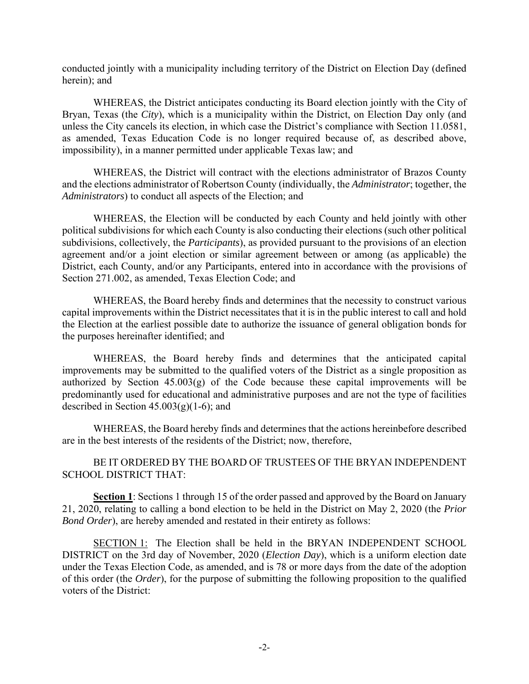conducted jointly with a municipality including territory of the District on Election Day (defined herein); and

WHEREAS, the District anticipates conducting its Board election jointly with the City of Bryan, Texas (the *City*), which is a municipality within the District, on Election Day only (and unless the City cancels its election, in which case the District's compliance with Section 11.0581, as amended, Texas Education Code is no longer required because of, as described above, impossibility), in a manner permitted under applicable Texas law; and

WHEREAS, the District will contract with the elections administrator of Brazos County and the elections administrator of Robertson County (individually, the *Administrator*; together, the *Administrators*) to conduct all aspects of the Election; and

WHEREAS, the Election will be conducted by each County and held jointly with other political subdivisions for which each County is also conducting their elections (such other political subdivisions, collectively, the *Participants*), as provided pursuant to the provisions of an election agreement and/or a joint election or similar agreement between or among (as applicable) the District, each County, and/or any Participants, entered into in accordance with the provisions of Section 271.002, as amended, Texas Election Code; and

WHEREAS, the Board hereby finds and determines that the necessity to construct various capital improvements within the District necessitates that it is in the public interest to call and hold the Election at the earliest possible date to authorize the issuance of general obligation bonds for the purposes hereinafter identified; and

WHEREAS, the Board hereby finds and determines that the anticipated capital improvements may be submitted to the qualified voters of the District as a single proposition as authorized by Section  $45.003(g)$  of the Code because these capital improvements will be predominantly used for educational and administrative purposes and are not the type of facilities described in Section  $45.003(g)(1-6)$ ; and

WHEREAS, the Board hereby finds and determines that the actions hereinbefore described are in the best interests of the residents of the District; now, therefore,

BE IT ORDERED BY THE BOARD OF TRUSTEES OF THE BRYAN INDEPENDENT SCHOOL DISTRICT THAT:

**Section 1**: Sections 1 through 15 of the order passed and approved by the Board on January 21, 2020, relating to calling a bond election to be held in the District on May 2, 2020 (the *Prior Bond Order*), are hereby amended and restated in their entirety as follows:

SECTION 1: The Election shall be held in the BRYAN INDEPENDENT SCHOOL DISTRICT on the 3rd day of November, 2020 (*Election Day*), which is a uniform election date under the Texas Election Code, as amended, and is 78 or more days from the date of the adoption of this order (the *Order*), for the purpose of submitting the following proposition to the qualified voters of the District: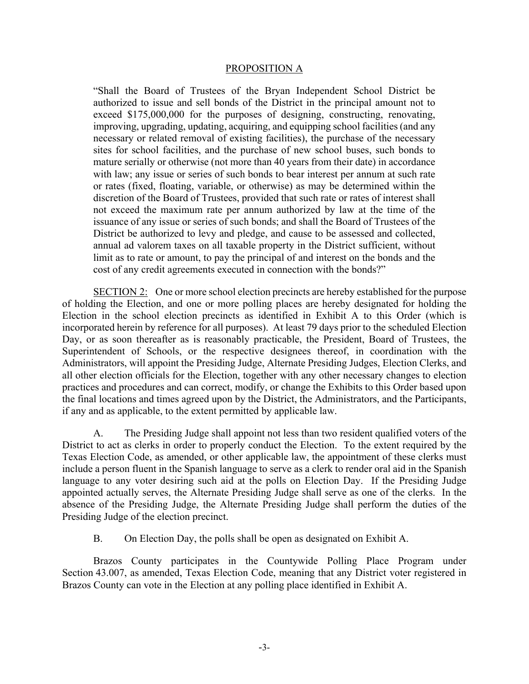#### PROPOSITION A

"Shall the Board of Trustees of the Bryan Independent School District be authorized to issue and sell bonds of the District in the principal amount not to exceed \$175,000,000 for the purposes of designing, constructing, renovating, improving, upgrading, updating, acquiring, and equipping school facilities (and any necessary or related removal of existing facilities), the purchase of the necessary sites for school facilities, and the purchase of new school buses, such bonds to mature serially or otherwise (not more than 40 years from their date) in accordance with law; any issue or series of such bonds to bear interest per annum at such rate or rates (fixed, floating, variable, or otherwise) as may be determined within the discretion of the Board of Trustees, provided that such rate or rates of interest shall not exceed the maximum rate per annum authorized by law at the time of the issuance of any issue or series of such bonds; and shall the Board of Trustees of the District be authorized to levy and pledge, and cause to be assessed and collected, annual ad valorem taxes on all taxable property in the District sufficient, without limit as to rate or amount, to pay the principal of and interest on the bonds and the cost of any credit agreements executed in connection with the bonds?"

SECTION 2: One or more school election precincts are hereby established for the purpose of holding the Election, and one or more polling places are hereby designated for holding the Election in the school election precincts as identified in Exhibit A to this Order (which is incorporated herein by reference for all purposes). At least 79 days prior to the scheduled Election Day, or as soon thereafter as is reasonably practicable, the President, Board of Trustees, the Superintendent of Schools, or the respective designees thereof, in coordination with the Administrators, will appoint the Presiding Judge, Alternate Presiding Judges, Election Clerks, and all other election officials for the Election, together with any other necessary changes to election practices and procedures and can correct, modify, or change the Exhibits to this Order based upon the final locations and times agreed upon by the District, the Administrators, and the Participants, if any and as applicable, to the extent permitted by applicable law.

A. The Presiding Judge shall appoint not less than two resident qualified voters of the District to act as clerks in order to properly conduct the Election. To the extent required by the Texas Election Code, as amended, or other applicable law, the appointment of these clerks must include a person fluent in the Spanish language to serve as a clerk to render oral aid in the Spanish language to any voter desiring such aid at the polls on Election Day. If the Presiding Judge appointed actually serves, the Alternate Presiding Judge shall serve as one of the clerks. In the absence of the Presiding Judge, the Alternate Presiding Judge shall perform the duties of the Presiding Judge of the election precinct.

B. On Election Day, the polls shall be open as designated on Exhibit A.

Brazos County participates in the Countywide Polling Place Program under Section 43.007, as amended, Texas Election Code, meaning that any District voter registered in Brazos County can vote in the Election at any polling place identified in Exhibit A.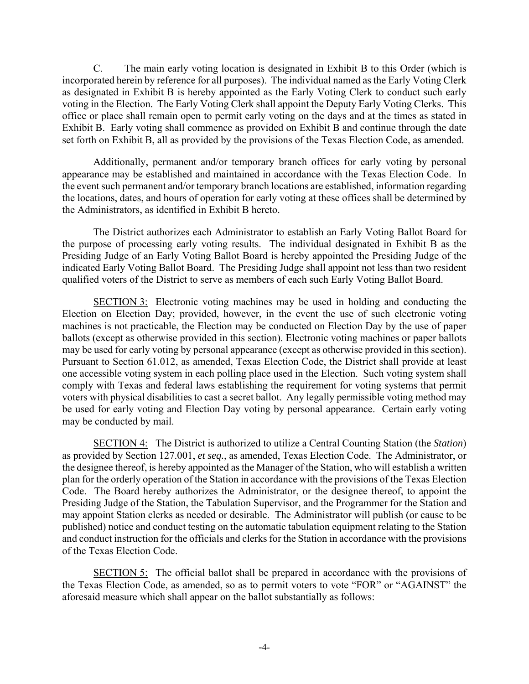C. The main early voting location is designated in Exhibit B to this Order (which is incorporated herein by reference for all purposes). The individual named as the Early Voting Clerk as designated in Exhibit B is hereby appointed as the Early Voting Clerk to conduct such early voting in the Election. The Early Voting Clerk shall appoint the Deputy Early Voting Clerks. This office or place shall remain open to permit early voting on the days and at the times as stated in Exhibit B. Early voting shall commence as provided on Exhibit B and continue through the date set forth on Exhibit B, all as provided by the provisions of the Texas Election Code, as amended.

Additionally, permanent and/or temporary branch offices for early voting by personal appearance may be established and maintained in accordance with the Texas Election Code. In the event such permanent and/or temporary branch locations are established, information regarding the locations, dates, and hours of operation for early voting at these offices shall be determined by the Administrators, as identified in Exhibit B hereto.

The District authorizes each Administrator to establish an Early Voting Ballot Board for the purpose of processing early voting results. The individual designated in Exhibit B as the Presiding Judge of an Early Voting Ballot Board is hereby appointed the Presiding Judge of the indicated Early Voting Ballot Board. The Presiding Judge shall appoint not less than two resident qualified voters of the District to serve as members of each such Early Voting Ballot Board.

SECTION 3: Electronic voting machines may be used in holding and conducting the Election on Election Day; provided, however, in the event the use of such electronic voting machines is not practicable, the Election may be conducted on Election Day by the use of paper ballots (except as otherwise provided in this section). Electronic voting machines or paper ballots may be used for early voting by personal appearance (except as otherwise provided in this section). Pursuant to Section 61.012, as amended, Texas Election Code, the District shall provide at least one accessible voting system in each polling place used in the Election. Such voting system shall comply with Texas and federal laws establishing the requirement for voting systems that permit voters with physical disabilities to cast a secret ballot. Any legally permissible voting method may be used for early voting and Election Day voting by personal appearance. Certain early voting may be conducted by mail.

SECTION 4: The District is authorized to utilize a Central Counting Station (the *Station*) as provided by Section 127.001, *et seq.*, as amended, Texas Election Code. The Administrator, or the designee thereof, is hereby appointed as the Manager of the Station, who will establish a written plan for the orderly operation of the Station in accordance with the provisions of the Texas Election Code. The Board hereby authorizes the Administrator, or the designee thereof, to appoint the Presiding Judge of the Station, the Tabulation Supervisor, and the Programmer for the Station and may appoint Station clerks as needed or desirable. The Administrator will publish (or cause to be published) notice and conduct testing on the automatic tabulation equipment relating to the Station and conduct instruction for the officials and clerks for the Station in accordance with the provisions of the Texas Election Code.

SECTION 5: The official ballot shall be prepared in accordance with the provisions of the Texas Election Code, as amended, so as to permit voters to vote "FOR" or "AGAINST" the aforesaid measure which shall appear on the ballot substantially as follows: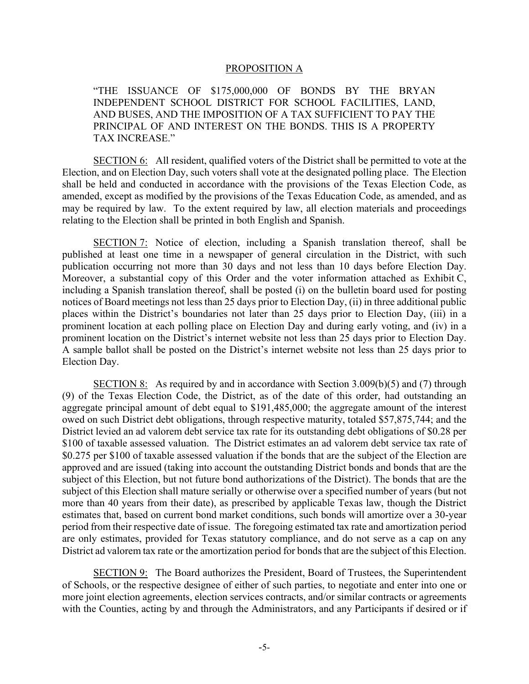#### PROPOSITION A

"THE ISSUANCE OF \$175,000,000 OF BONDS BY THE BRYAN INDEPENDENT SCHOOL DISTRICT FOR SCHOOL FACILITIES, LAND, AND BUSES, AND THE IMPOSITION OF A TAX SUFFICIENT TO PAY THE PRINCIPAL OF AND INTEREST ON THE BONDS. THIS IS A PROPERTY TAX INCREASE."

SECTION 6: All resident, qualified voters of the District shall be permitted to vote at the Election, and on Election Day, such voters shall vote at the designated polling place. The Election shall be held and conducted in accordance with the provisions of the Texas Election Code, as amended, except as modified by the provisions of the Texas Education Code, as amended, and as may be required by law. To the extent required by law, all election materials and proceedings relating to the Election shall be printed in both English and Spanish.

SECTION 7: Notice of election, including a Spanish translation thereof, shall be published at least one time in a newspaper of general circulation in the District, with such publication occurring not more than 30 days and not less than 10 days before Election Day. Moreover, a substantial copy of this Order and the voter information attached as Exhibit C, including a Spanish translation thereof, shall be posted (i) on the bulletin board used for posting notices of Board meetings not less than 25 days prior to Election Day, (ii) in three additional public places within the District's boundaries not later than 25 days prior to Election Day, (iii) in a prominent location at each polling place on Election Day and during early voting, and (iv) in a prominent location on the District's internet website not less than 25 days prior to Election Day. A sample ballot shall be posted on the District's internet website not less than 25 days prior to Election Day.

SECTION 8: As required by and in accordance with Section 3.009(b)(5) and (7) through (9) of the Texas Election Code, the District, as of the date of this order, had outstanding an aggregate principal amount of debt equal to \$191,485,000; the aggregate amount of the interest owed on such District debt obligations, through respective maturity, totaled \$57,875,744; and the District levied an ad valorem debt service tax rate for its outstanding debt obligations of \$0.28 per \$100 of taxable assessed valuation. The District estimates an ad valorem debt service tax rate of \$0.275 per \$100 of taxable assessed valuation if the bonds that are the subject of the Election are approved and are issued (taking into account the outstanding District bonds and bonds that are the subject of this Election, but not future bond authorizations of the District). The bonds that are the subject of this Election shall mature serially or otherwise over a specified number of years (but not more than 40 years from their date), as prescribed by applicable Texas law, though the District estimates that, based on current bond market conditions, such bonds will amortize over a 30-year period from their respective date of issue. The foregoing estimated tax rate and amortization period are only estimates, provided for Texas statutory compliance, and do not serve as a cap on any District ad valorem tax rate or the amortization period for bonds that are the subject of this Election.

SECTION 9: The Board authorizes the President, Board of Trustees, the Superintendent of Schools, or the respective designee of either of such parties, to negotiate and enter into one or more joint election agreements, election services contracts, and/or similar contracts or agreements with the Counties, acting by and through the Administrators, and any Participants if desired or if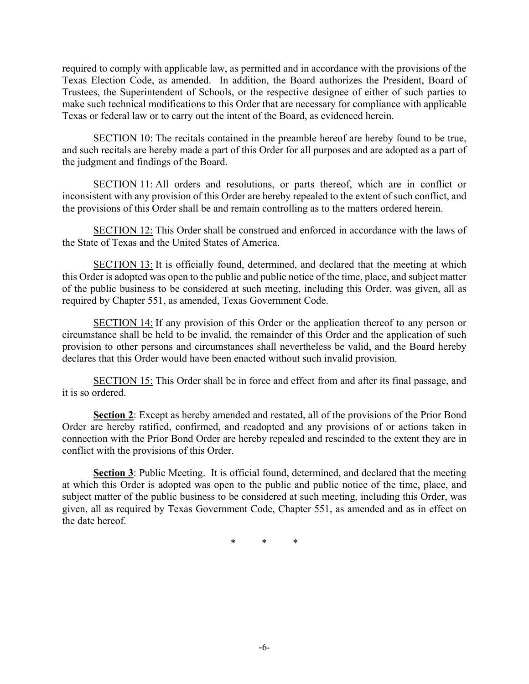required to comply with applicable law, as permitted and in accordance with the provisions of the Texas Election Code, as amended. In addition, the Board authorizes the President, Board of Trustees, the Superintendent of Schools, or the respective designee of either of such parties to make such technical modifications to this Order that are necessary for compliance with applicable Texas or federal law or to carry out the intent of the Board, as evidenced herein.

SECTION 10: The recitals contained in the preamble hereof are hereby found to be true, and such recitals are hereby made a part of this Order for all purposes and are adopted as a part of the judgment and findings of the Board.

SECTION 11: All orders and resolutions, or parts thereof, which are in conflict or inconsistent with any provision of this Order are hereby repealed to the extent of such conflict, and the provisions of this Order shall be and remain controlling as to the matters ordered herein.

SECTION 12: This Order shall be construed and enforced in accordance with the laws of the State of Texas and the United States of America.

SECTION 13: It is officially found, determined, and declared that the meeting at which this Order is adopted was open to the public and public notice of the time, place, and subject matter of the public business to be considered at such meeting, including this Order, was given, all as required by Chapter 551, as amended, Texas Government Code.

SECTION 14: If any provision of this Order or the application thereof to any person or circumstance shall be held to be invalid, the remainder of this Order and the application of such provision to other persons and circumstances shall nevertheless be valid, and the Board hereby declares that this Order would have been enacted without such invalid provision.

SECTION 15: This Order shall be in force and effect from and after its final passage, and it is so ordered.

**Section 2**: Except as hereby amended and restated, all of the provisions of the Prior Bond Order are hereby ratified, confirmed, and readopted and any provisions of or actions taken in connection with the Prior Bond Order are hereby repealed and rescinded to the extent they are in conflict with the provisions of this Order.

**Section 3**: Public Meeting. It is official found, determined, and declared that the meeting at which this Order is adopted was open to the public and public notice of the time, place, and subject matter of the public business to be considered at such meeting, including this Order, was given, all as required by Texas Government Code, Chapter 551, as amended and as in effect on the date hereof.

\* \* \*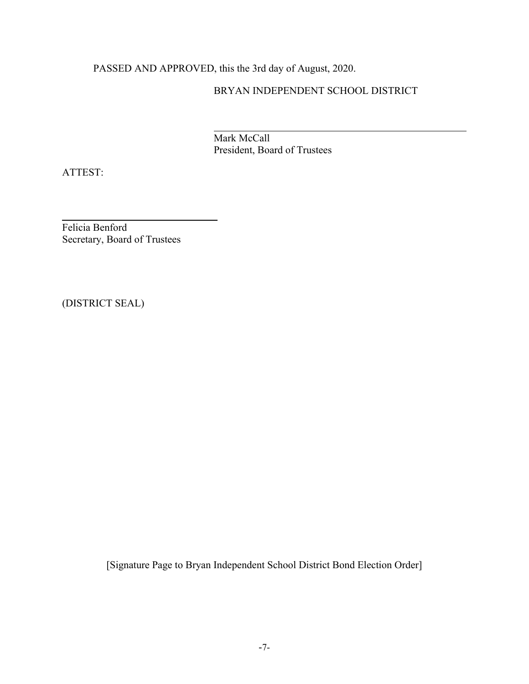PASSED AND APPROVED, this the 3rd day of August, 2020.

 $\overline{a}$ 

# BRYAN INDEPENDENT SCHOOL DISTRICT

Mark McCall President, Board of Trustees

ATTEST:

 $\overline{a}$ 

Felicia Benford Secretary, Board of Trustees

(DISTRICT SEAL)

[Signature Page to Bryan Independent School District Bond Election Order]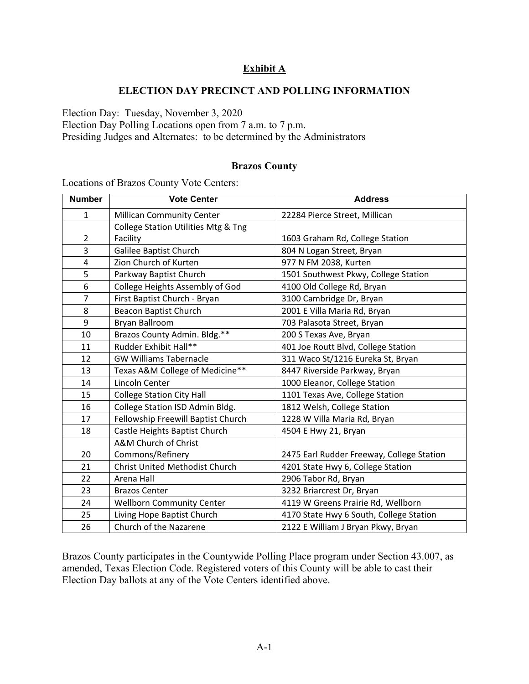## **Exhibit A**

## **ELECTION DAY PRECINCT AND POLLING INFORMATION**

Election Day: Tuesday, November 3, 2020

Election Day Polling Locations open from 7 a.m. to 7 p.m. Presiding Judges and Alternates: to be determined by the Administrators

### **Brazos County**

Locations of Brazos County Vote Centers:

| <b>Number</b>  | <b>Vote Center</b>                             | <b>Address</b>                            |
|----------------|------------------------------------------------|-------------------------------------------|
| $\mathbf{1}$   | Millican Community Center                      | 22284 Pierce Street, Millican             |
|                | <b>College Station Utilities Mtg &amp; Tng</b> |                                           |
| $\overline{2}$ | Facility                                       | 1603 Graham Rd, College Station           |
| 3              | Galilee Baptist Church                         | 804 N Logan Street, Bryan                 |
| 4              | Zion Church of Kurten                          | 977 N FM 2038, Kurten                     |
| 5              | Parkway Baptist Church                         | 1501 Southwest Pkwy, College Station      |
| 6              | College Heights Assembly of God                | 4100 Old College Rd, Bryan                |
| $\overline{7}$ | First Baptist Church - Bryan                   | 3100 Cambridge Dr, Bryan                  |
| 8              | Beacon Baptist Church                          | 2001 E Villa Maria Rd, Bryan              |
| 9              | <b>Bryan Ballroom</b>                          | 703 Palasota Street, Bryan                |
| 10             | Brazos County Admin. Bldg.**                   | 200 S Texas Ave, Bryan                    |
| 11             | Rudder Exhibit Hall**                          | 401 Joe Routt Blvd, College Station       |
| 12             | <b>GW Williams Tabernacle</b>                  | 311 Waco St/1216 Eureka St, Bryan         |
| 13             | Texas A&M College of Medicine**                | 8447 Riverside Parkway, Bryan             |
| 14             | Lincoln Center                                 | 1000 Eleanor, College Station             |
| 15             | <b>College Station City Hall</b>               | 1101 Texas Ave, College Station           |
| 16             | College Station ISD Admin Bldg.                | 1812 Welsh, College Station               |
| 17             | Fellowship Freewill Baptist Church             | 1228 W Villa Maria Rd, Bryan              |
| 18             | Castle Heights Baptist Church                  | 4504 E Hwy 21, Bryan                      |
|                | A&M Church of Christ                           |                                           |
| 20             | Commons/Refinery                               | 2475 Earl Rudder Freeway, College Station |
| 21             | <b>Christ United Methodist Church</b>          | 4201 State Hwy 6, College Station         |
| 22             | Arena Hall                                     | 2906 Tabor Rd, Bryan                      |
| 23             | <b>Brazos Center</b>                           | 3232 Briarcrest Dr, Bryan                 |
| 24             | <b>Wellborn Community Center</b>               | 4119 W Greens Prairie Rd, Wellborn        |
| 25             | Living Hope Baptist Church                     | 4170 State Hwy 6 South, College Station   |
| 26             | Church of the Nazarene                         | 2122 E William J Bryan Pkwy, Bryan        |

Brazos County participates in the Countywide Polling Place program under Section 43.007, as amended, Texas Election Code. Registered voters of this County will be able to cast their Election Day ballots at any of the Vote Centers identified above.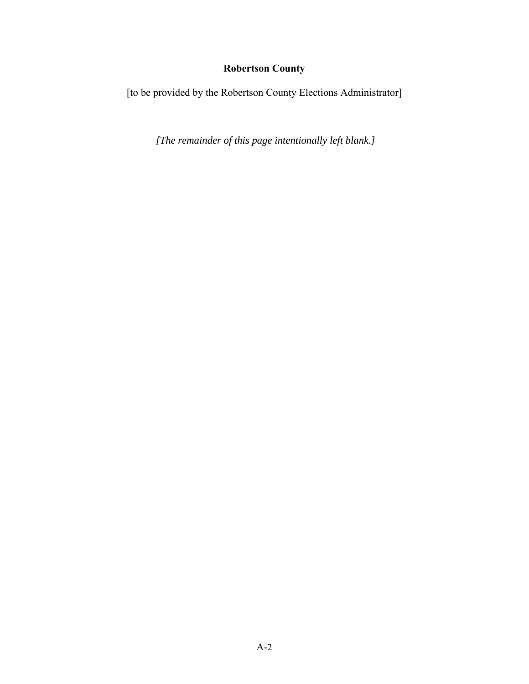# **Robertson County**

[to be provided by the Robertson County Elections Administrator]

 *[The remainder of this page intentionally left blank.]*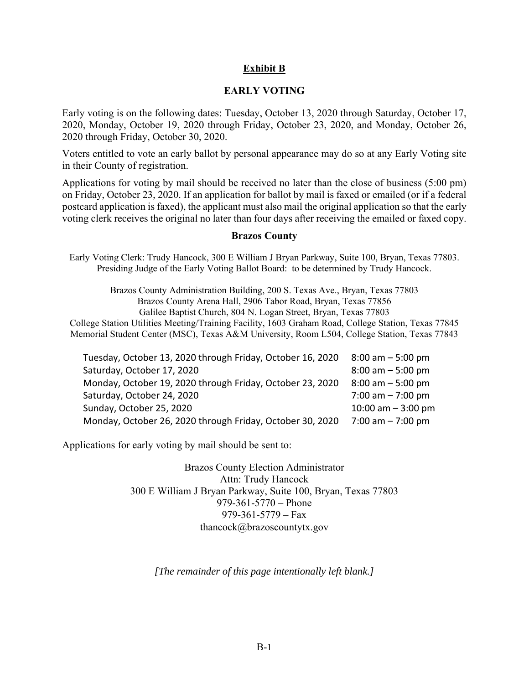## **Exhibit B**

## **EARLY VOTING**

Early voting is on the following dates: Tuesday, October 13, 2020 through Saturday, October 17, 2020, Monday, October 19, 2020 through Friday, October 23, 2020, and Monday, October 26, 2020 through Friday, October 30, 2020.

Voters entitled to vote an early ballot by personal appearance may do so at any Early Voting site in their County of registration.

Applications for voting by mail should be received no later than the close of business (5:00 pm) on Friday, October 23, 2020. If an application for ballot by mail is faxed or emailed (or if a federal postcard application is faxed), the applicant must also mail the original application so that the early voting clerk receives the original no later than four days after receiving the emailed or faxed copy.

#### **Brazos County**

Early Voting Clerk: Trudy Hancock, 300 E William J Bryan Parkway, Suite 100, Bryan, Texas 77803. Presiding Judge of the Early Voting Ballot Board: to be determined by Trudy Hancock.

Brazos County Administration Building, 200 S. Texas Ave., Bryan, Texas 77803 Brazos County Arena Hall, 2906 Tabor Road, Bryan, Texas 77856 Galilee Baptist Church, 804 N. Logan Street, Bryan, Texas 77803 College Station Utilities Meeting/Training Facility, 1603 Graham Road, College Station, Texas 77845 Memorial Student Center (MSC), Texas A&M University, Room L504, College Station, Texas 77843

| Tuesday, October 13, 2020 through Friday, October 16, 2020 | $8:00$ am $-5:00$ pm |
|------------------------------------------------------------|----------------------|
| Saturday, October 17, 2020                                 | $8:00$ am $-5:00$ pm |
| Monday, October 19, 2020 through Friday, October 23, 2020  | $8:00$ am $-5:00$ pm |
| Saturday, October 24, 2020                                 | $7:00$ am $-7:00$ pm |
| Sunday, October 25, 2020                                   | 10:00 am $-$ 3:00 pm |
| Monday, October 26, 2020 through Friday, October 30, 2020  | $7:00$ am $-7:00$ pm |
|                                                            |                      |

Applications for early voting by mail should be sent to:

Brazos County Election Administrator Attn: Trudy Hancock 300 E William J Bryan Parkway, Suite 100, Bryan, Texas 77803 979-361-5770 – Phone  $979-361-5779 - Fax$ thancock@brazoscountytx.gov

*[The remainder of this page intentionally left blank.]*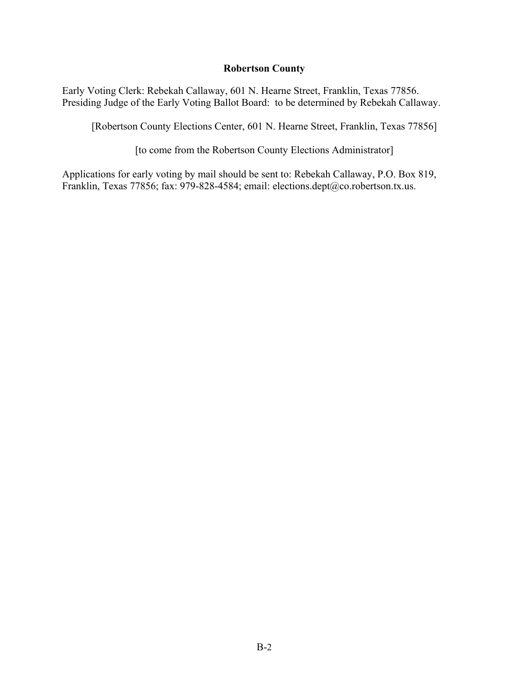## **Robertson County**

Early Voting Clerk: Rebekah Callaway, 601 N. Hearne Street, Franklin, Texas 77856. Presiding Judge of the Early Voting Ballot Board: to be determined by Rebekah Callaway.

[Robertson County Elections Center, 601 N. Hearne Street, Franklin, Texas 77856]

[to come from the Robertson County Elections Administrator]

Applications for early voting by mail should be sent to: Rebekah Callaway, P.O. Box 819, Franklin, Texas 77856; fax: 979-828-4584; email: elections.dept@co.robertson.tx.us.